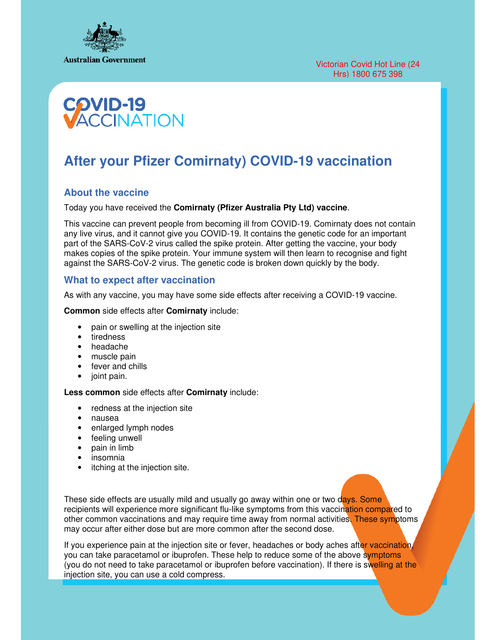



# **After your Pfizer Comirnaty) COVID-19 vaccination**

## **About the vaccine**

Today you have received the **Comirnaty (Pfizer Australia Pty Ltd) vaccine**.

This vaccine can prevent people from becoming ill from COVID-19. Comirnaty does not contain any live virus, and it cannot give you COVID-19. It contains the genetic code for an important part of the SARS-CoV-2 virus called the spike protein. After getting the vaccine, your body makes copies of the spike protein. Your immune system will then learn to recognise and fight against the SARS-CoV-2 virus. The genetic code is broken down quickly by the body.

#### **What to expect after vaccination**

As with any vaccine, you may have some side effects after receiving a COVID-19 vaccine.

**Common** side effects after **Comirnaty** include:

- pain or swelling at the injection site
- tiredness
- headache
- muscle pain
- fever and chills
- joint pain.

#### **Less common** side effects after **Comirnaty** include:

- redness at the injection site
- nausea
- enlarged lymph nodes
- feeling unwell<br>• pain in limb
- pain in limb
- insomnia
- itching at the injection site.

These side effects are usually mild and usually go away within one or two days. Some recipients will experience more significant flu-like symptoms from this vaccination compared to other common vaccinations and may require time away from normal activities. These symptoms may occur after either dose but are more common after the second dose.

If you experience pain at the injection site or fever, headaches or body aches after vaccination, you can take paracetamol or ibuprofen. These help to reduce some of the above symptoms (you do not need to take paracetamol or ibuprofen before vaccination). If there is swelling at the injection site, you can use a cold compress.